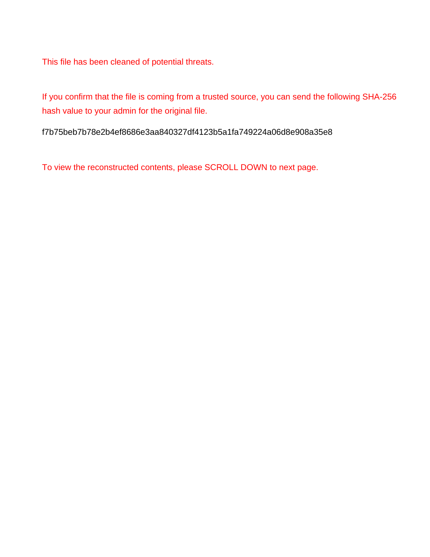This file has been cleaned of potential threats.

If you confirm that the file is coming from a trusted source, you can send the following SHA-256 hash value to your admin for the original file.

f7b75beb7b78e2b4ef8686e3aa840327df4123b5a1fa749224a06d8e908a35e8

To view the reconstructed contents, please SCROLL DOWN to next page.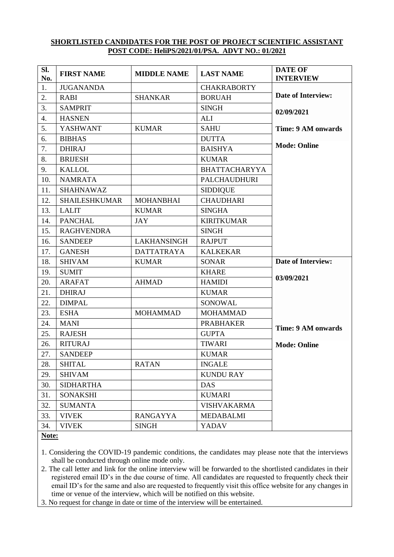## **SHORTLISTED CANDIDATES FOR THE POST OF PROJECT SCIENTIFIC ASSISTANT POST CODE: HeliPS/2021/01/PSA. ADVT NO.: 01/2021**

| SI.<br>No. | <b>FIRST NAME</b>    | <b>MIDDLE NAME</b> | <b>LAST NAME</b>     | <b>DATE OF</b><br><b>INTERVIEW</b> |
|------------|----------------------|--------------------|----------------------|------------------------------------|
| 1.         | <b>JUGANANDA</b>     |                    | <b>CHAKRABORTY</b>   |                                    |
| 2.         | <b>RABI</b>          | <b>SHANKAR</b>     | <b>BORUAH</b>        | <b>Date of Interview:</b>          |
| 3.         | <b>SAMPRIT</b>       |                    | <b>SINGH</b>         | 02/09/2021                         |
| 4.         | <b>HASNEN</b>        |                    | <b>ALI</b>           |                                    |
| 5.         | <b>YASHWANT</b>      | <b>KUMAR</b>       | <b>SAHU</b>          | Time: 9 AM onwards                 |
| 6.         | <b>BIBHAS</b>        |                    | <b>DUTTA</b>         |                                    |
| 7.         | <b>DHIRAJ</b>        |                    | <b>BAISHYA</b>       | <b>Mode: Online</b>                |
| 8.         | <b>BRIJESH</b>       |                    | <b>KUMAR</b>         |                                    |
| 9.         | <b>KALLOL</b>        |                    | <b>BHATTACHARYYA</b> |                                    |
| 10.        | <b>NAMRATA</b>       |                    | <b>PALCHAUDHURI</b>  |                                    |
| 11.        | <b>SHAHNAWAZ</b>     |                    | <b>SIDDIQUE</b>      |                                    |
| 12.        | <b>SHAILESHKUMAR</b> | <b>MOHANBHAI</b>   | <b>CHAUDHARI</b>     |                                    |
| 13.        | <b>LALIT</b>         | <b>KUMAR</b>       | <b>SINGHA</b>        |                                    |
| 14.        | <b>PANCHAL</b>       | <b>JAY</b>         | <b>KIRITKUMAR</b>    |                                    |
| 15.        | <b>RAGHVENDRA</b>    |                    | <b>SINGH</b>         |                                    |
| 16.        | <b>SANDEEP</b>       | <b>LAKHANSINGH</b> | <b>RAJPUT</b>        |                                    |
| 17.        | <b>GANESH</b>        | <b>DATTATRAYA</b>  | <b>KALKEKAR</b>      |                                    |
| 18.        | <b>SHIVAM</b>        | <b>KUMAR</b>       | <b>SONAR</b>         | <b>Date of Interview:</b>          |
| 19.        | <b>SUMIT</b>         |                    | <b>KHARE</b>         |                                    |
| 20.        | <b>ARAFAT</b>        | <b>AHMAD</b>       | <b>HAMIDI</b>        | 03/09/2021                         |
| 21.        | <b>DHIRAJ</b>        |                    | <b>KUMAR</b>         |                                    |
| 22.        | <b>DIMPAL</b>        |                    | SONOWAL              |                                    |
| 23.        | <b>ESHA</b>          | <b>MOHAMMAD</b>    | <b>MOHAMMAD</b>      |                                    |
| 24.        | <b>MANI</b>          |                    | <b>PRABHAKER</b>     | <b>Time: 9 AM onwards</b>          |
| 25.        | <b>RAJESH</b>        |                    | <b>GUPTA</b>         |                                    |
| 26.        | <b>RITURAJ</b>       |                    | <b>TIWARI</b>        | <b>Mode: Online</b>                |
| 27.        | <b>SANDEEP</b>       |                    | <b>KUMAR</b>         |                                    |
| 28.        | <b>SHITAL</b>        | <b>RATAN</b>       | <b>INGALE</b>        |                                    |
| 29.        | <b>SHIVAM</b>        |                    | <b>KUNDU RAY</b>     |                                    |
| 30.        | <b>SIDHARTHA</b>     |                    | <b>DAS</b>           |                                    |
| 31.        | <b>SONAKSHI</b>      |                    | <b>KUMARI</b>        |                                    |
| 32.        | <b>SUMANTA</b>       |                    | <b>VISHVAKARMA</b>   |                                    |
| 33.        | <b>VIVEK</b>         | <b>RANGAYYA</b>    | <b>MEDABALMI</b>     |                                    |
| 34.        | <b>VIVEK</b>         | <b>SINGH</b>       | YADAV                |                                    |

**Note:**

1. Considering the COVID-19 pandemic conditions, the candidates may please note that the interviews shall be conducted through online mode only.

2. The call letter and link for the online interview will be forwarded to the shortlisted candidates in their registered email ID's in the due course of time. All candidates are requested to frequently check their email ID's for the same and also are requested to frequently visit this office website for any changes in time or venue of the interview, which will be notified on this website.

3. No request for change in date or time of the interview will be entertained.